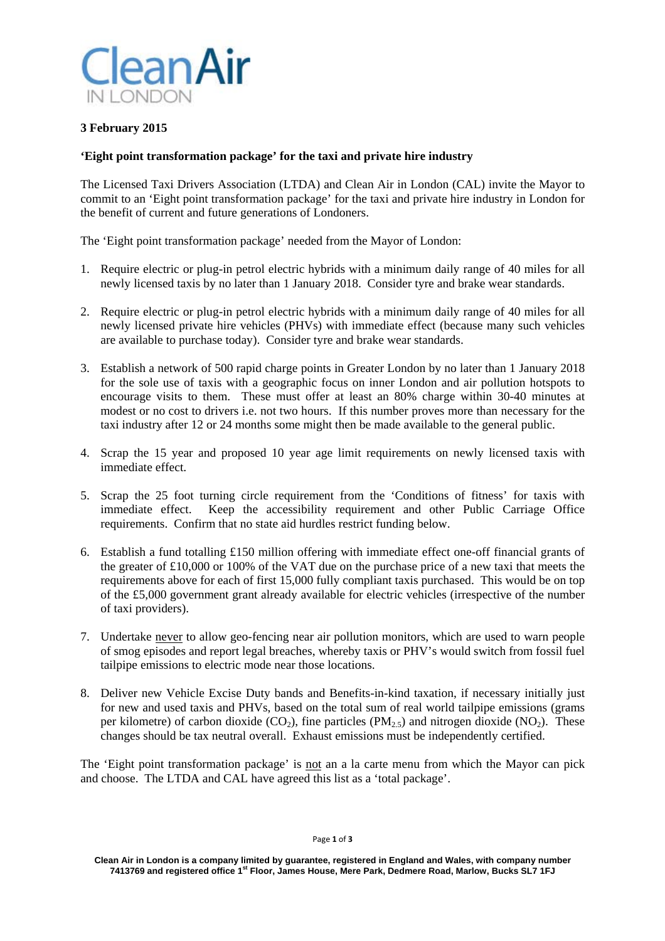

# **3 February 2015**

### **'Eight point transformation package' for the taxi and private hire industry**

The Licensed Taxi Drivers Association (LTDA) and Clean Air in London (CAL) invite the Mayor to commit to an 'Eight point transformation package' for the taxi and private hire industry in London for the benefit of current and future generations of Londoners.

The 'Eight point transformation package' needed from the Mayor of London:

- 1. Require electric or plug-in petrol electric hybrids with a minimum daily range of 40 miles for all newly licensed taxis by no later than 1 January 2018. Consider tyre and brake wear standards.
- 2. Require electric or plug-in petrol electric hybrids with a minimum daily range of 40 miles for all newly licensed private hire vehicles (PHVs) with immediate effect (because many such vehicles are available to purchase today). Consider tyre and brake wear standards.
- 3. Establish a network of 500 rapid charge points in Greater London by no later than 1 January 2018 for the sole use of taxis with a geographic focus on inner London and air pollution hotspots to encourage visits to them. These must offer at least an 80% charge within 30-40 minutes at modest or no cost to drivers i.e. not two hours. If this number proves more than necessary for the taxi industry after 12 or 24 months some might then be made available to the general public.
- 4. Scrap the 15 year and proposed 10 year age limit requirements on newly licensed taxis with immediate effect.
- 5. Scrap the 25 foot turning circle requirement from the 'Conditions of fitness' for taxis with immediate effect. Keep the accessibility requirement and other Public Carriage Office requirements. Confirm that no state aid hurdles restrict funding below.
- 6. Establish a fund totalling £150 million offering with immediate effect one-off financial grants of the greater of £10,000 or 100% of the VAT due on the purchase price of a new taxi that meets the requirements above for each of first 15,000 fully compliant taxis purchased. This would be on top of the £5,000 government grant already available for electric vehicles (irrespective of the number of taxi providers).
- 7. Undertake never to allow geo-fencing near air pollution monitors, which are used to warn people of smog episodes and report legal breaches, whereby taxis or PHV's would switch from fossil fuel tailpipe emissions to electric mode near those locations.
- 8. Deliver new Vehicle Excise Duty bands and Benefits-in-kind taxation, if necessary initially just for new and used taxis and PHVs, based on the total sum of real world tailpipe emissions (grams per kilometre) of carbon dioxide  $(CO_2)$ , fine particles  $(PM_{2.5})$  and nitrogen dioxide  $(NO_2)$ . These changes should be tax neutral overall. Exhaust emissions must be independently certified.

The 'Eight point transformation package' is not an a la carte menu from which the Mayor can pick and choose. The LTDA and CAL have agreed this list as a 'total package'.

**Clean Air in London is a company limited by guarantee, registered in England and Wales, with company number 7413769 and registered office 1st Floor, James House, Mere Park, Dedmere Road, Marlow, Bucks SL7 1FJ**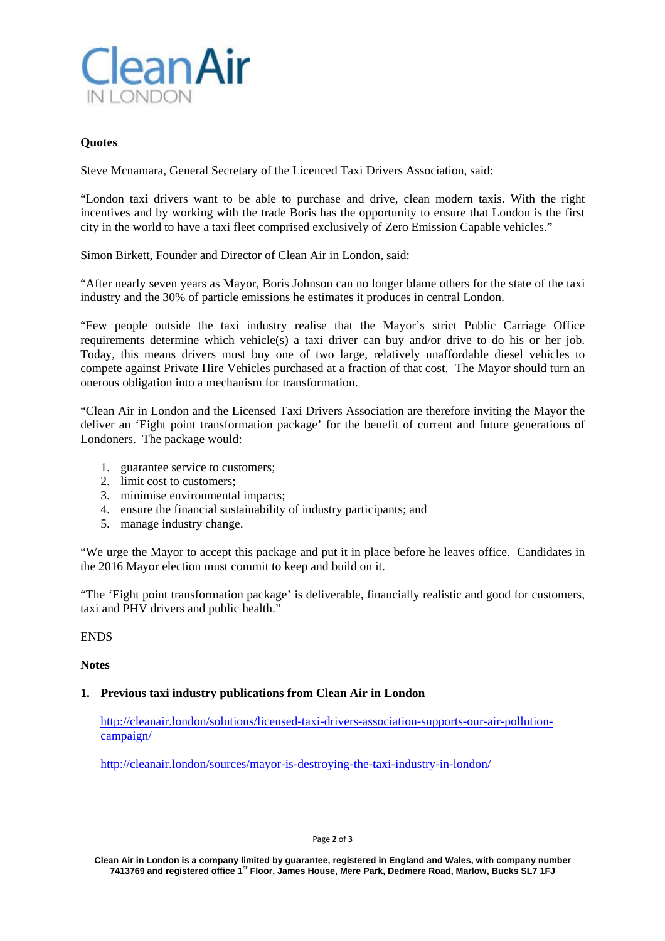

### **Quotes**

Steve Mcnamara, General Secretary of the Licenced Taxi Drivers Association, said:

"London taxi drivers want to be able to purchase and drive, clean modern taxis. With the right incentives and by working with the trade Boris has the opportunity to ensure that London is the first city in the world to have a taxi fleet comprised exclusively of Zero Emission Capable vehicles."

Simon Birkett, Founder and Director of Clean Air in London, said:

"After nearly seven years as Mayor, Boris Johnson can no longer blame others for the state of the taxi industry and the 30% of particle emissions he estimates it produces in central London.

"Few people outside the taxi industry realise that the Mayor's strict Public Carriage Office requirements determine which vehicle(s) a taxi driver can buy and/or drive to do his or her job. Today, this means drivers must buy one of two large, relatively unaffordable diesel vehicles to compete against Private Hire Vehicles purchased at a fraction of that cost. The Mayor should turn an onerous obligation into a mechanism for transformation.

"Clean Air in London and the Licensed Taxi Drivers Association are therefore inviting the Mayor the deliver an 'Eight point transformation package' for the benefit of current and future generations of Londoners. The package would:

- 1. guarantee service to customers;
- 2. limit cost to customers;
- 3. minimise environmental impacts;
- 4. ensure the financial sustainability of industry participants; and
- 5. manage industry change.

"We urge the Mayor to accept this package and put it in place before he leaves office. Candidates in the 2016 Mayor election must commit to keep and build on it.

"The 'Eight point transformation package' is deliverable, financially realistic and good for customers, taxi and PHV drivers and public health."

**ENDS** 

**Notes** 

### **1. Previous taxi industry publications from Clean Air in London**

http://cleanair.london/solutions/licensed-taxi-drivers-association-supports-our-air-pollutioncampaign/

http://cleanair.london/sources/mayor-is-destroying-the-taxi-industry-in-london/